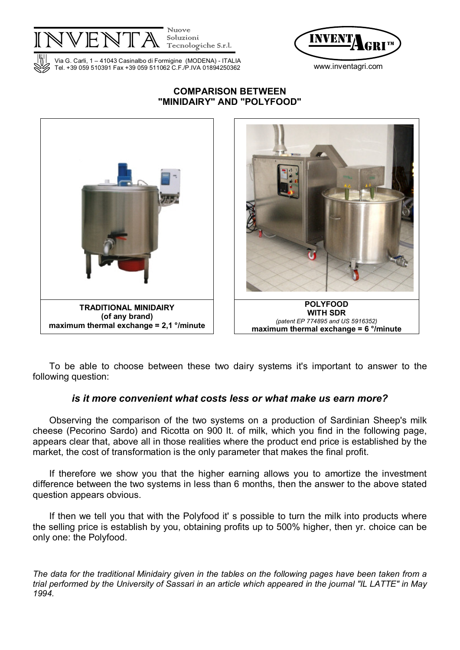

Soluzioni<br>Tecnologiche S.r.l.



Via G. Carli, 1 – 41043 Casinalbo di Formigine (MODENA) - ITALIA Tel. +39 059 510391 Fax +39 059 511062 C.F./P.IVA 01894250362 www.inventagri.com

## COMPARISON BETWEEN "MINIDAIRY" AND "POLYFOOD"



To be able to choose between these two dairy systems it's important to answer to the following question:

# is it more convenient what costs less or what make us earn more?

Observing the comparison of the two systems on a production of Sardinian Sheep's milk cheese (Pecorino Sardo) and Ricotta on 900 lt. of milk, which you find in the following page, appears clear that, above all in those realities where the product end price is established by the market, the cost of transformation is the only parameter that makes the final profit.

If therefore we show you that the higher earning allows you to amortize the investment difference between the two systems in less than 6 months, then the answer to the above stated question appears obvious.

If then we tell you that with the Polyfood it's possible to turn the milk into products where the selling price is establish by you, obtaining profits up to 500% higher, then yr. choice can be only one: the Polyfood.

The data for the traditional Minidairy given in the tables on the following pages have been taken from a trial performed by the University of Sassari in an article which appeared in the journal "IL LATTE" in May 1994.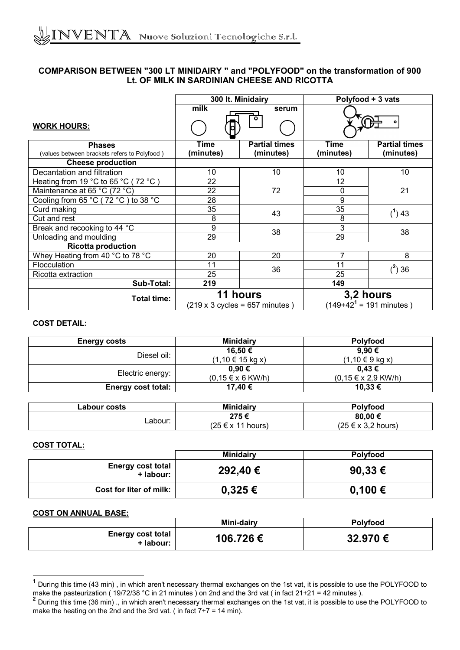### COMPARISON BETWEEN "300 LT MINIDAIRY " and "POLYFOOD" on the transformation of 900 Lt. OF MILK IN SARDINIAN CHEESE AND RICOTTA

|                                              | 300 It. Minidairy |                                                                   | Polyfood + 3 vats |                                                   |
|----------------------------------------------|-------------------|-------------------------------------------------------------------|-------------------|---------------------------------------------------|
|                                              | $m$ ilk           | serum                                                             |                   |                                                   |
| <b>WORK HOURS:</b>                           |                   |                                                                   |                   |                                                   |
| <b>Phases</b>                                | Time              | <b>Partial times</b>                                              | Time              | <b>Partial times</b>                              |
| (values between brackets refers to Polyfood) | (minutes)         | (minutes)                                                         | (minutes)         | (minutes)                                         |
| <b>Cheese production</b>                     |                   |                                                                   |                   |                                                   |
| Decantation and filtration                   | 10                | 10                                                                | 10                | 10                                                |
| Heating from 19 °C to 65 °C (72 °C)          | 22                |                                                                   | 12                |                                                   |
| Maintenance at 65 °C (72 °C)                 | 22                | 72                                                                | 0                 | 21                                                |
| Cooling from 65 °C (72 °C) to 38 °C          | 28                |                                                                   | 9                 |                                                   |
| Curd making                                  | 35                | 43                                                                | 35                | $(1)$ 43                                          |
| Cut and rest                                 | 8                 |                                                                   | 8                 |                                                   |
| Break and recooking to 44 °C                 | 9                 | 38                                                                | 3                 | 38                                                |
| Unloading and moulding                       | 29                |                                                                   | 29                |                                                   |
| <b>Ricotta production</b>                    |                   |                                                                   |                   |                                                   |
| Whey Heating from 40 °C to 78 °C             | 20                | 20                                                                | 7                 | 8                                                 |
| Flocculation                                 | 11                | 36                                                                | 11                | $(^2)$ 36                                         |
| Ricotta extraction                           | 25                |                                                                   | 25                |                                                   |
| Sub-Total:                                   | 219               |                                                                   | 149               |                                                   |
| <b>Total time:</b>                           |                   | 11 hours<br>$(219 \times 3 \text{ cycles} = 657 \text{ minutes})$ |                   | 3,2 hours<br>$(149+42^{1} = 191 \text{ minutes})$ |

### COST DETAIL:

| <b>Energy costs</b> | <b>Minidairy</b>                 | Polyfood                           |  |
|---------------------|----------------------------------|------------------------------------|--|
| Diesel oil:         | 16,50 €<br>$(1, 10 \in 15$ kg x) | 9,90€<br>$(1, 10 \in 9$ kg x)      |  |
| Electric energy:    | 0,90€<br>$(0, 15 \in x 6$ KW/h)  | 0,43€<br>$(0, 15 \in x 2, 9$ KW/h) |  |
| Energy cost total:  | 17,40 €                          | 10,33 €                            |  |

| ∟abour costs | Minidairy                     | <b>Polyfood</b>                  |  |
|--------------|-------------------------------|----------------------------------|--|
| Labour:      | 275€<br>$(25 \in x 11$ hours) | 80,00€<br>$(25 \in x 3.2$ hours) |  |
|              |                               |                                  |  |

#### COST TOTAL:

|                                       | <b>Minidairy</b> | Polyfood    |
|---------------------------------------|------------------|-------------|
| <b>Energy cost total</b><br>+ labour: | 292,40 €         | 90,33 €     |
| Cost for liter of milk:               | $0,325 \in$      | $0,100 \in$ |

#### COST ON ANNUAL BASE:

|                                       | Mini-dairy | <b>Polyfood</b> |
|---------------------------------------|------------|-----------------|
| <b>Energy cost total</b><br>+ labour: | 106.726€   | 32.970€         |

 1 During this time (43 min) , in which aren't necessary thermal exchanges on the 1st vat, it is possible to use the POLYFOOD to

make the pasteurization ( 19/72/38 °C in 21 minutes ) on 2nd and the 3rd vat ( in fact 21+21 = 42 minutes ).<br><sup>2</sup> During this time (36 min) ., in which aren't necessary thermal exchanges on the 1st vat, it is possible to us make the heating on the 2nd and the 3rd vat. (in fact  $7+7 = 14$  min).